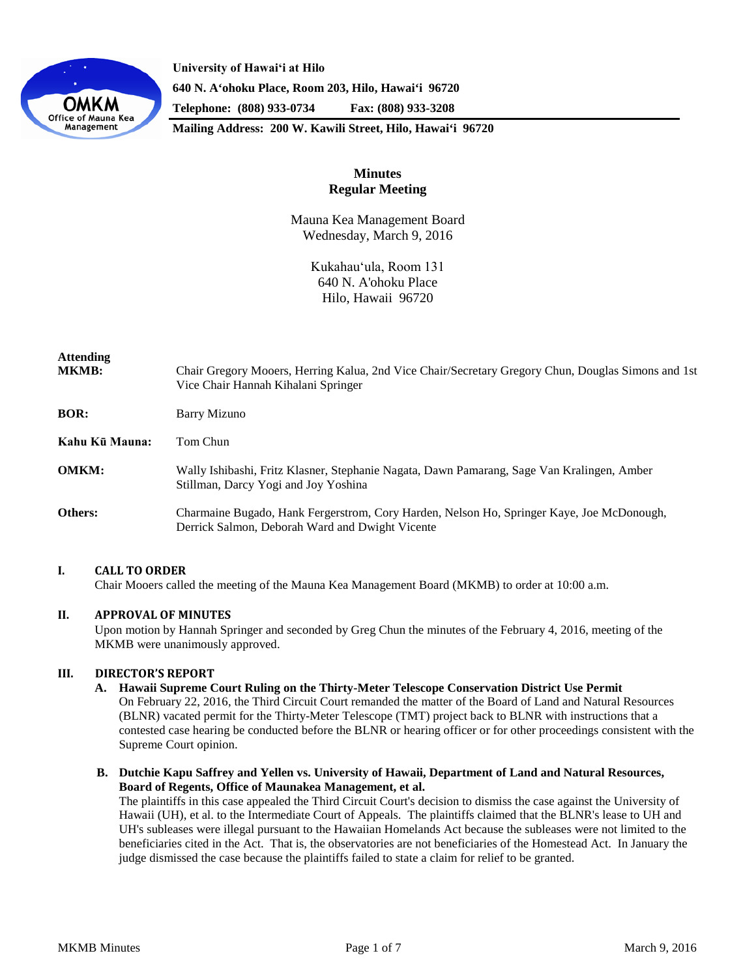

**University of Hawaiʻi at Hilo 640 N. A'ohoku Place, Room 203, Hilo, Hawai'i 96720 Telephone: (808) 933-0734 Fax: (808) 933-3208**

**Mailing Address: 200 W. Kawili Street, Hilo, Hawai'i 96720**

# **Minutes Regular Meeting**

Mauna Kea Management Board Wednesday, March 9, 2016

> Kukahauʻula, Room 131 640 N. A'ohoku Place Hilo, Hawaii 96720

| Attending<br><b>MKMB:</b> | Chair Gregory Mooers, Herring Kalua, 2nd Vice Chair/Secretary Gregory Chun, Douglas Simons and 1st<br>Vice Chair Hannah Kihalani Springer    |
|---------------------------|----------------------------------------------------------------------------------------------------------------------------------------------|
| <b>BOR:</b>               | <b>Barry Mizuno</b>                                                                                                                          |
| Kahu Kū Mauna:            | Tom Chun                                                                                                                                     |
| <b>OMKM:</b>              | Wally Ishibashi, Fritz Klasner, Stephanie Nagata, Dawn Pamarang, Sage Van Kralingen, Amber<br>Stillman, Darcy Yogi and Joy Yoshina           |
| <b>Others:</b>            | Charmaine Bugado, Hank Fergerstrom, Cory Harden, Nelson Ho, Springer Kaye, Joe McDonough,<br>Derrick Salmon, Deborah Ward and Dwight Vicente |

## **I. CALL TO ORDER**

Chair Mooers called the meeting of the Mauna Kea Management Board (MKMB) to order at 10:00 a.m.

## **II. APPROVAL OF MINUTES**

Upon motion by Hannah Springer and seconded by Greg Chun the minutes of the February 4, 2016, meeting of the MKMB were unanimously approved.

## **III. DIRECTOR'S REPORT**

**A. Hawaii Supreme Court Ruling on the Thirty-Meter Telescope Conservation District Use Permit** On February 22, 2016, the Third Circuit Court remanded the matter of the Board of Land and Natural Resources (BLNR) vacated permit for the Thirty-Meter Telescope (TMT) project back to BLNR with instructions that a

contested case hearing be conducted before the BLNR or hearing officer or for other proceedings consistent with the Supreme Court opinion.

**B. Dutchie Kapu Saffrey and Yellen vs. University of Hawaii, Department of Land and Natural Resources, Board of Regents, Office of Maunakea Management, et al.**

The plaintiffs in this case appealed the Third Circuit Court's decision to dismiss the case against the University of Hawaii (UH), et al. to the Intermediate Court of Appeals. The plaintiffs claimed that the BLNR's lease to UH and UH's subleases were illegal pursuant to the Hawaiian Homelands Act because the subleases were not limited to the beneficiaries cited in the Act. That is, the observatories are not beneficiaries of the Homestead Act. In January the judge dismissed the case because the plaintiffs failed to state a claim for relief to be granted.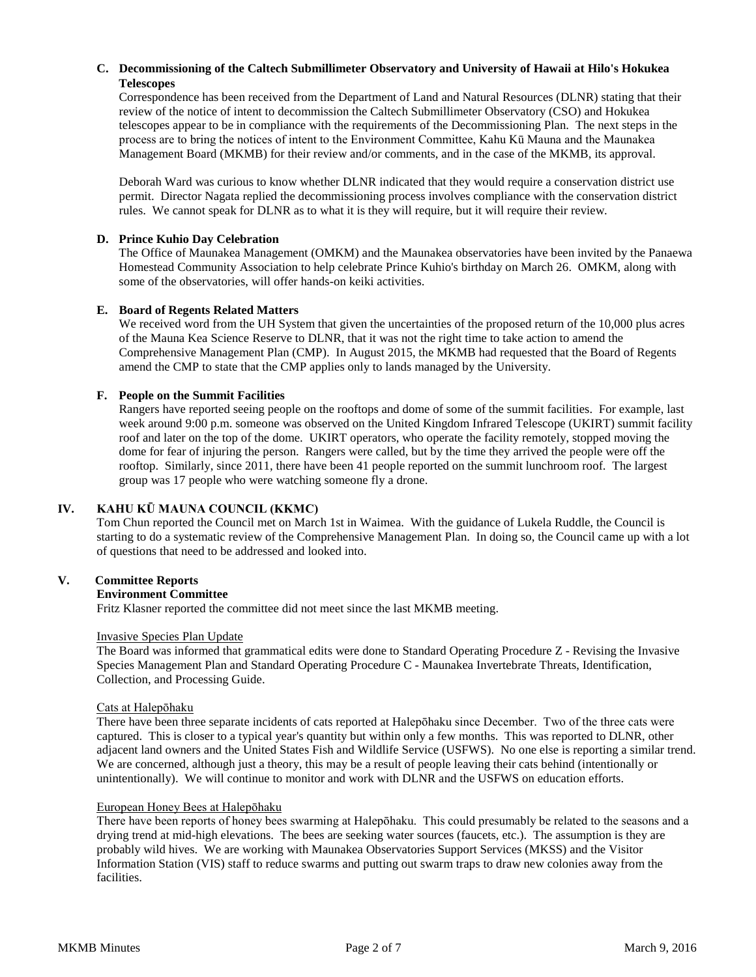## **C. Decommissioning of the Caltech Submillimeter Observatory and University of Hawaii at Hilo's Hokukea Telescopes**

Correspondence has been received from the Department of Land and Natural Resources (DLNR) stating that their review of the notice of intent to decommission the Caltech Submillimeter Observatory (CSO) and Hokukea telescopes appear to be in compliance with the requirements of the Decommissioning Plan. The next steps in the process are to bring the notices of intent to the Environment Committee, Kahu Kū Mauna and the Maunakea Management Board (MKMB) for their review and/or comments, and in the case of the MKMB, its approval.

Deborah Ward was curious to know whether DLNR indicated that they would require a conservation district use permit. Director Nagata replied the decommissioning process involves compliance with the conservation district rules. We cannot speak for DLNR as to what it is they will require, but it will require their review.

#### **D. Prince Kuhio Day Celebration**

The Office of Maunakea Management (OMKM) and the Maunakea observatories have been invited by the Panaewa Homestead Community Association to help celebrate Prince Kuhio's birthday on March 26. OMKM, along with some of the observatories, will offer hands-on keiki activities.

#### **E. Board of Regents Related Matters**

We received word from the UH System that given the uncertainties of the proposed return of the 10,000 plus acres of the Mauna Kea Science Reserve to DLNR, that it was not the right time to take action to amend the Comprehensive Management Plan (CMP). In August 2015, the MKMB had requested that the Board of Regents amend the CMP to state that the CMP applies only to lands managed by the University.

#### **F. People on the Summit Facilities**

Rangers have reported seeing people on the rooftops and dome of some of the summit facilities. For example, last week around 9:00 p.m. someone was observed on the United Kingdom Infrared Telescope (UKIRT) summit facility roof and later on the top of the dome. UKIRT operators, who operate the facility remotely, stopped moving the dome for fear of injuring the person. Rangers were called, but by the time they arrived the people were off the rooftop. Similarly, since 2011, there have been 41 people reported on the summit lunchroom roof. The largest group was 17 people who were watching someone fly a drone.

## **IV. KAHU KŪ MAUNA COUNCIL (KKMC)**

Tom Chun reported the Council met on March 1st in Waimea. With the guidance of Lukela Ruddle, the Council is starting to do a systematic review of the Comprehensive Management Plan. In doing so, the Council came up with a lot of questions that need to be addressed and looked into.

#### **V. Committee Reports**

#### **Environment Committee**

Fritz Klasner reported the committee did not meet since the last MKMB meeting.

#### Invasive Species Plan Update

The Board was informed that grammatical edits were done to Standard Operating Procedure Z - Revising the Invasive Species Management Plan and Standard Operating Procedure C - Maunakea Invertebrate Threats, Identification, Collection, and Processing Guide.

## Cats at Halepōhaku

There have been three separate incidents of cats reported at Halepōhaku since December. Two of the three cats were captured. This is closer to a typical year's quantity but within only a few months. This was reported to DLNR, other adjacent land owners and the United States Fish and Wildlife Service (USFWS). No one else is reporting a similar trend. We are concerned, although just a theory, this may be a result of people leaving their cats behind (intentionally or unintentionally). We will continue to monitor and work with DLNR and the USFWS on education efforts.

#### European Honey Bees at Halepōhaku

There have been reports of honey bees swarming at Halepōhaku. This could presumably be related to the seasons and a drying trend at mid-high elevations. The bees are seeking water sources (faucets, etc.). The assumption is they are probably wild hives. We are working with Maunakea Observatories Support Services (MKSS) and the Visitor Information Station (VIS) staff to reduce swarms and putting out swarm traps to draw new colonies away from the facilities.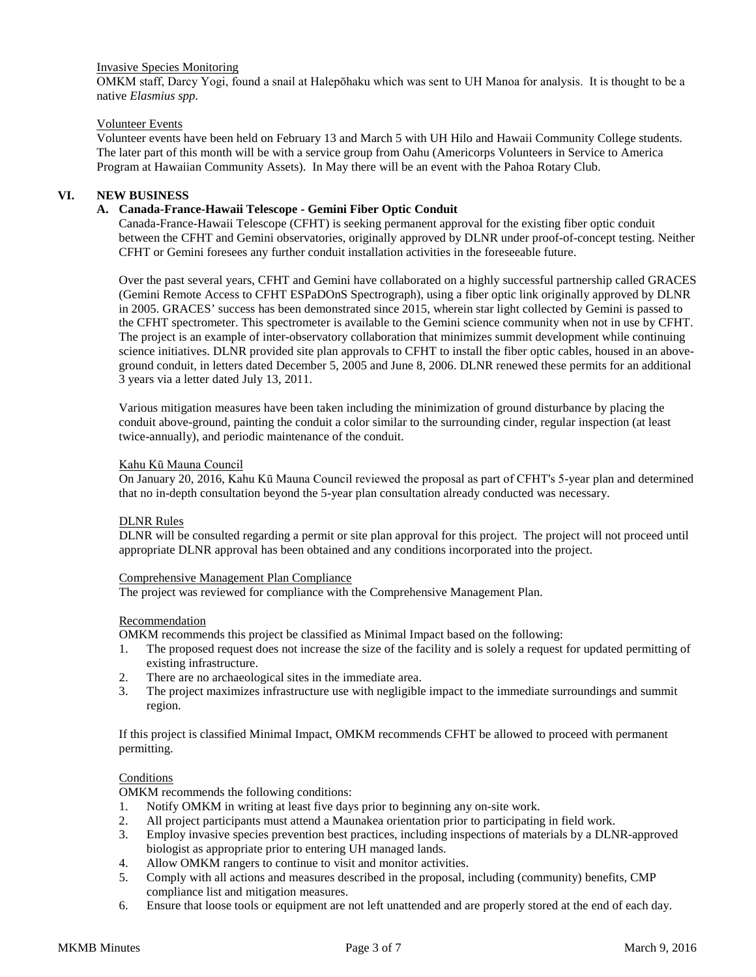## Invasive Species Monitoring

OMKM staff, Darcy Yogi, found a snail at Halepōhaku which was sent to UH Manoa for analysis. It is thought to be a native *Elasmius spp.*

## Volunteer Events

Volunteer events have been held on February 13 and March 5 with UH Hilo and Hawaii Community College students. The later part of this month will be with a service group from Oahu (Americorps Volunteers in Service to America Program at Hawaiian Community Assets). In May there will be an event with the Pahoa Rotary Club.

## **VI. NEW BUSINESS**

## **A. Canada-France-Hawaii Telescope - Gemini Fiber Optic Conduit**

Canada-France-Hawaii Telescope (CFHT) is seeking permanent approval for the existing fiber optic conduit between the CFHT and Gemini observatories, originally approved by DLNR under proof-of-concept testing. Neither CFHT or Gemini foresees any further conduit installation activities in the foreseeable future.

Over the past several years, CFHT and Gemini have collaborated on a highly successful partnership called GRACES (Gemini Remote Access to CFHT ESPaDOnS Spectrograph), using a fiber optic link originally approved by DLNR in 2005. GRACES' success has been demonstrated since 2015, wherein star light collected by Gemini is passed to the CFHT spectrometer. This spectrometer is available to the Gemini science community when not in use by CFHT. The project is an example of inter-observatory collaboration that minimizes summit development while continuing science initiatives. DLNR provided site plan approvals to CFHT to install the fiber optic cables, housed in an aboveground conduit, in letters dated December 5, 2005 and June 8, 2006. DLNR renewed these permits for an additional 3 years via a letter dated July 13, 2011.

Various mitigation measures have been taken including the minimization of ground disturbance by placing the conduit above-ground, painting the conduit a color similar to the surrounding cinder, regular inspection (at least twice-annually), and periodic maintenance of the conduit.

#### Kahu Kū Mauna Council

On January 20, 2016, Kahu Kū Mauna Council reviewed the proposal as part of CFHT's 5-year plan and determined that no in-depth consultation beyond the 5-year plan consultation already conducted was necessary.

#### DLNR Rules

DLNR will be consulted regarding a permit or site plan approval for this project. The project will not proceed until appropriate DLNR approval has been obtained and any conditions incorporated into the project.

#### Comprehensive Management Plan Compliance

The project was reviewed for compliance with the Comprehensive Management Plan.

#### Recommendation

OMKM recommends this project be classified as Minimal Impact based on the following:

- 1. The proposed request does not increase the size of the facility and is solely a request for updated permitting of existing infrastructure.
- 2. There are no archaeological sites in the immediate area.
- 3. The project maximizes infrastructure use with negligible impact to the immediate surroundings and summit region.

If this project is classified Minimal Impact, OMKM recommends CFHT be allowed to proceed with permanent permitting.

#### **Conditions**

OMKM recommends the following conditions:

- 1. Notify OMKM in writing at least five days prior to beginning any on-site work.<br>2. All project participants must attend a Maunakea orientation prior to participating
- 2. All project participants must attend a Maunakea orientation prior to participating in field work.
- 3. Employ invasive species prevention best practices, including inspections of materials by a DLNR-approved biologist as appropriate prior to entering UH managed lands.
- 4. Allow OMKM rangers to continue to visit and monitor activities.
- 5. Comply with all actions and measures described in the proposal, including (community) benefits, CMP compliance list and mitigation measures.
- 6. Ensure that loose tools or equipment are not left unattended and are properly stored at the end of each day.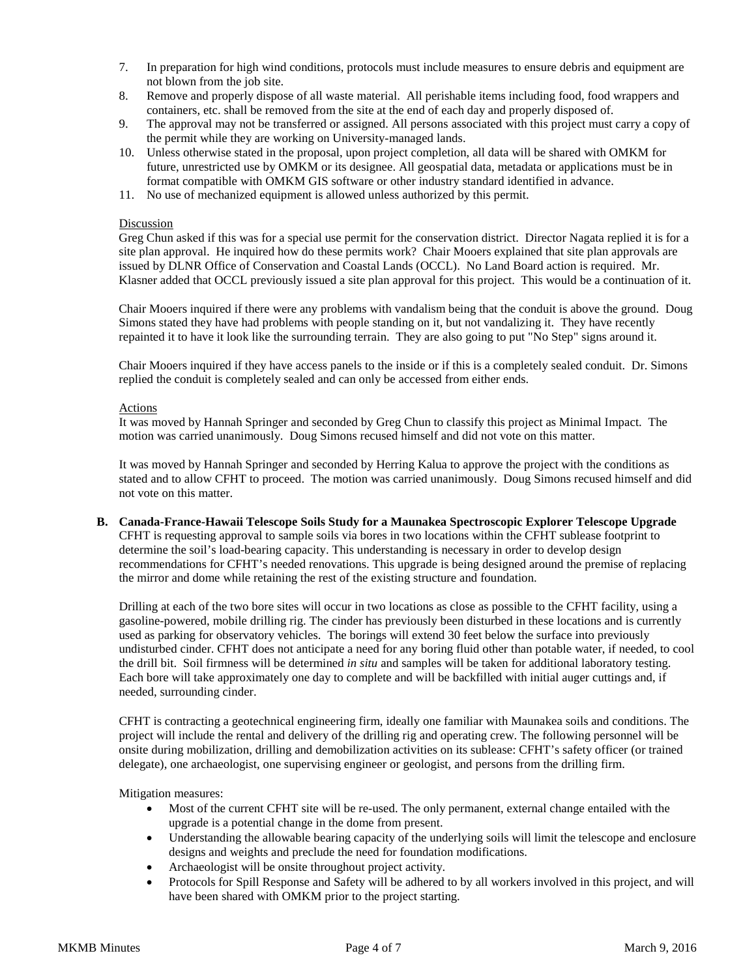- 7. In preparation for high wind conditions, protocols must include measures to ensure debris and equipment are not blown from the job site.
- 8. Remove and properly dispose of all waste material. All perishable items including food, food wrappers and containers, etc. shall be removed from the site at the end of each day and properly disposed of.
- 9. The approval may not be transferred or assigned. All persons associated with this project must carry a copy of the permit while they are working on University-managed lands.
- 10. Unless otherwise stated in the proposal, upon project completion, all data will be shared with OMKM for future, unrestricted use by OMKM or its designee. All geospatial data, metadata or applications must be in format compatible with OMKM GIS software or other industry standard identified in advance.
- 11. No use of mechanized equipment is allowed unless authorized by this permit.

#### Discussion

Greg Chun asked if this was for a special use permit for the conservation district. Director Nagata replied it is for a site plan approval. He inquired how do these permits work? Chair Mooers explained that site plan approvals are issued by DLNR Office of Conservation and Coastal Lands (OCCL). No Land Board action is required. Mr. Klasner added that OCCL previously issued a site plan approval for this project. This would be a continuation of it.

Chair Mooers inquired if there were any problems with vandalism being that the conduit is above the ground. Doug Simons stated they have had problems with people standing on it, but not vandalizing it. They have recently repainted it to have it look like the surrounding terrain. They are also going to put "No Step" signs around it.

Chair Mooers inquired if they have access panels to the inside or if this is a completely sealed conduit. Dr. Simons replied the conduit is completely sealed and can only be accessed from either ends.

## Actions

It was moved by Hannah Springer and seconded by Greg Chun to classify this project as Minimal Impact. The motion was carried unanimously. Doug Simons recused himself and did not vote on this matter.

It was moved by Hannah Springer and seconded by Herring Kalua to approve the project with the conditions as stated and to allow CFHT to proceed. The motion was carried unanimously. Doug Simons recused himself and did not vote on this matter.

### **B. Canada-France-Hawaii Telescope Soils Study for a Maunakea Spectroscopic Explorer Telescope Upgrade**  CFHT is requesting approval to sample soils via bores in two locations within the CFHT sublease footprint to determine the soil's load-bearing capacity. This understanding is necessary in order to develop design recommendations for CFHT's needed renovations. This upgrade is being designed around the premise of replacing the mirror and dome while retaining the rest of the existing structure and foundation.

Drilling at each of the two bore sites will occur in two locations as close as possible to the CFHT facility, using a gasoline-powered, mobile drilling rig. The cinder has previously been disturbed in these locations and is currently used as parking for observatory vehicles. The borings will extend 30 feet below the surface into previously undisturbed cinder. CFHT does not anticipate a need for any boring fluid other than potable water, if needed, to cool the drill bit. Soil firmness will be determined *in situ* and samples will be taken for additional laboratory testing. Each bore will take approximately one day to complete and will be backfilled with initial auger cuttings and, if needed, surrounding cinder.

CFHT is contracting a geotechnical engineering firm, ideally one familiar with Maunakea soils and conditions. The project will include the rental and delivery of the drilling rig and operating crew. The following personnel will be onsite during mobilization, drilling and demobilization activities on its sublease: CFHT's safety officer (or trained delegate), one archaeologist, one supervising engineer or geologist, and persons from the drilling firm.

#### Mitigation measures:

- Most of the current CFHT site will be re-used. The only permanent, external change entailed with the upgrade is a potential change in the dome from present.
- Understanding the allowable bearing capacity of the underlying soils will limit the telescope and enclosure designs and weights and preclude the need for foundation modifications.
- Archaeologist will be onsite throughout project activity.
- Protocols for Spill Response and Safety will be adhered to by all workers involved in this project, and will have been shared with OMKM prior to the project starting.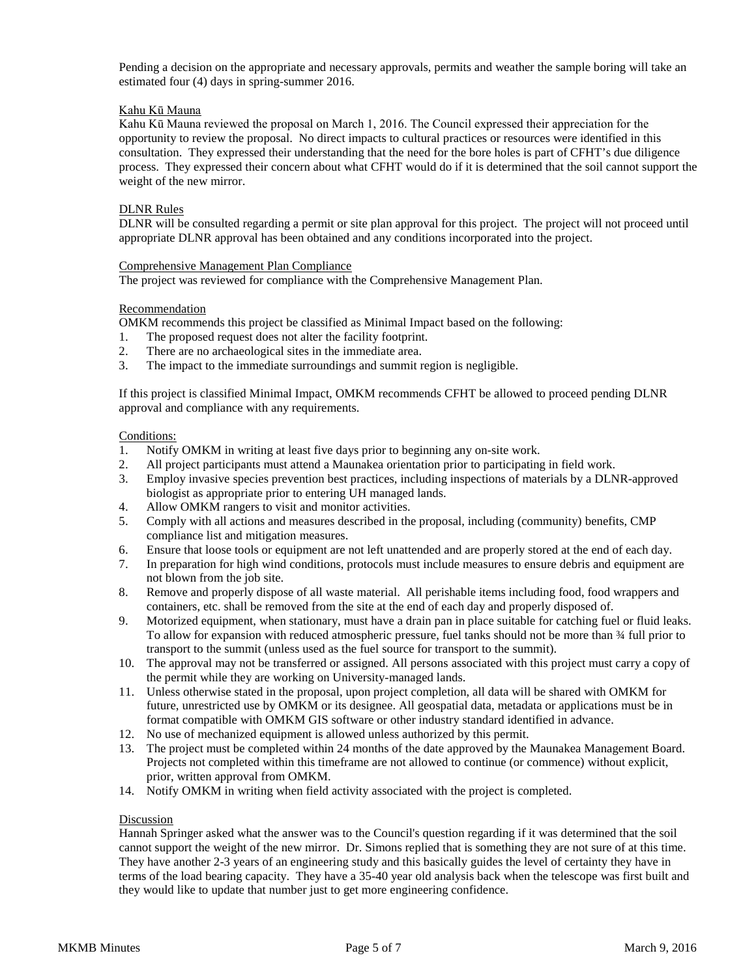Pending a decision on the appropriate and necessary approvals, permits and weather the sample boring will take an estimated four (4) days in spring-summer 2016.

#### Kahu Kū Mauna

Kahu Kū Mauna reviewed the proposal on March 1, 2016. The Council expressed their appreciation for the opportunity to review the proposal. No direct impacts to cultural practices or resources were identified in this consultation. They expressed their understanding that the need for the bore holes is part of CFHT's due diligence process. They expressed their concern about what CFHT would do if it is determined that the soil cannot support the weight of the new mirror.

#### DLNR Rules

DLNR will be consulted regarding a permit or site plan approval for this project. The project will not proceed until appropriate DLNR approval has been obtained and any conditions incorporated into the project.

#### Comprehensive Management Plan Compliance

The project was reviewed for compliance with the Comprehensive Management Plan.

#### Recommendation

OMKM recommends this project be classified as Minimal Impact based on the following:

- 1. The proposed request does not alter the facility footprint.
- 2. There are no archaeological sites in the immediate area.
- 3. The impact to the immediate surroundings and summit region is negligible.

If this project is classified Minimal Impact, OMKM recommends CFHT be allowed to proceed pending DLNR approval and compliance with any requirements.

#### Conditions:

- 1. Notify OMKM in writing at least five days prior to beginning any on-site work.
- 2. All project participants must attend a Maunakea orientation prior to participating in field work.
- 3. Employ invasive species prevention best practices, including inspections of materials by a DLNR-approved biologist as appropriate prior to entering UH managed lands.
- 4. Allow OMKM rangers to visit and monitor activities.
- 5. Comply with all actions and measures described in the proposal, including (community) benefits, CMP compliance list and mitigation measures.
- 6. Ensure that loose tools or equipment are not left unattended and are properly stored at the end of each day.
- 7. In preparation for high wind conditions, protocols must include measures to ensure debris and equipment are not blown from the job site.
- 8. Remove and properly dispose of all waste material. All perishable items including food, food wrappers and containers, etc. shall be removed from the site at the end of each day and properly disposed of.
- 9. Motorized equipment, when stationary, must have a drain pan in place suitable for catching fuel or fluid leaks. To allow for expansion with reduced atmospheric pressure, fuel tanks should not be more than  $\frac{3}{4}$  full prior to transport to the summit (unless used as the fuel source for transport to the summit).
- 10. The approval may not be transferred or assigned. All persons associated with this project must carry a copy of the permit while they are working on University-managed lands.
- 11. Unless otherwise stated in the proposal, upon project completion, all data will be shared with OMKM for future, unrestricted use by OMKM or its designee. All geospatial data, metadata or applications must be in format compatible with OMKM GIS software or other industry standard identified in advance.
- 12. No use of mechanized equipment is allowed unless authorized by this permit.
- 13. The project must be completed within 24 months of the date approved by the Maunakea Management Board. Projects not completed within this timeframe are not allowed to continue (or commence) without explicit, prior, written approval from OMKM.
- 14. Notify OMKM in writing when field activity associated with the project is completed.

#### Discussion

Hannah Springer asked what the answer was to the Council's question regarding if it was determined that the soil cannot support the weight of the new mirror. Dr. Simons replied that is something they are not sure of at this time. They have another 2-3 years of an engineering study and this basically guides the level of certainty they have in terms of the load bearing capacity. They have a 35-40 year old analysis back when the telescope was first built and they would like to update that number just to get more engineering confidence.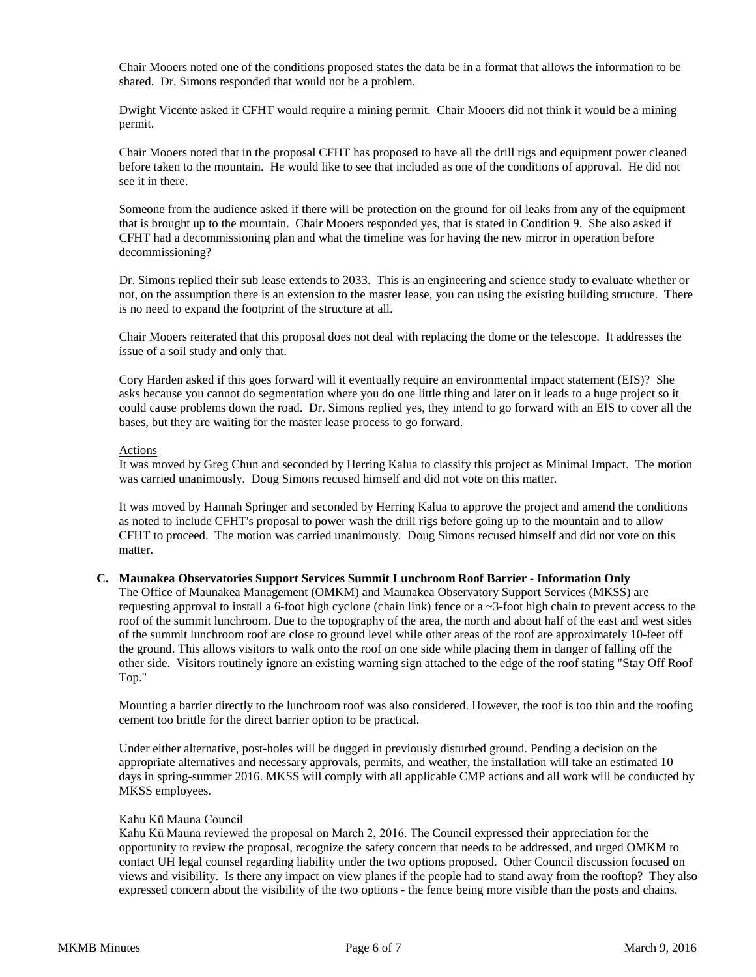Chair Mooers noted one of the conditions proposed states the data be in a format that allows the information to be shared. Dr. Simons responded that would not be a problem.

Dwight Vicente asked if CFHT would require a mining permit. Chair Mooers did not think it would be a mining permit.

Chair Mooers noted that in the proposal CFHT has proposed to have all the drill rigs and equipment power cleaned before taken to the mountain. He would like to see that included as one of the conditions of approval. He did not see it in there.

Someone from the audience asked if there will be protection on the ground for oil leaks from any of the equipment that is brought up to the mountain. Chair Mooers responded yes, that is stated in Condition 9. She also asked if CFHT had a decommissioning plan and what the timeline was for having the new mirror in operation before decommissioning?

Dr. Simons replied their sub lease extends to 2033. This is an engineering and science study to evaluate whether or not, on the assumption there is an extension to the master lease, you can using the existing building structure. There is no need to expand the footprint of the structure at all.

Chair Mooers reiterated that this proposal does not deal with replacing the dome or the telescope. It addresses the issue of a soil study and only that.

Cory Harden asked if this goes forward will it eventually require an environmental impact statement (EIS)? She asks because you cannot do segmentation where you do one little thing and later on it leads to a huge project so it could cause problems down the road. Dr. Simons replied yes, they intend to go forward with an EIS to cover all the bases, but they are waiting for the master lease process to go forward.

### Actions

It was moved by Greg Chun and seconded by Herring Kalua to classify this project as Minimal Impact. The motion was carried unanimously. Doug Simons recused himself and did not vote on this matter.

It was moved by Hannah Springer and seconded by Herring Kalua to approve the project and amend the conditions as noted to include CFHT's proposal to power wash the drill rigs before going up to the mountain and to allow CFHT to proceed. The motion was carried unanimously. Doug Simons recused himself and did not vote on this matter.

#### **C. Maunakea Observatories Support Services Summit Lunchroom Roof Barrier - Information Only**

The Office of Maunakea Management (OMKM) and Maunakea Observatory Support Services (MKSS) are requesting approval to install a 6-foot high cyclone (chain link) fence or a  $\sim$ 3-foot high chain to prevent access to the roof of the summit lunchroom. Due to the topography of the area, the north and about half of the east and west sides of the summit lunchroom roof are close to ground level while other areas of the roof are approximately 10-feet off the ground. This allows visitors to walk onto the roof on one side while placing them in danger of falling off the other side. Visitors routinely ignore an existing warning sign attached to the edge of the roof stating "Stay Off Roof Top."

Mounting a barrier directly to the lunchroom roof was also considered. However, the roof is too thin and the roofing cement too brittle for the direct barrier option to be practical.

Under either alternative, post-holes will be dugged in previously disturbed ground. Pending a decision on the appropriate alternatives and necessary approvals, permits, and weather, the installation will take an estimated 10 days in spring-summer 2016. MKSS will comply with all applicable CMP actions and all work will be conducted by MKSS employees.

#### Kahu Kū Mauna Council

Kahu Kū Mauna reviewed the proposal on March 2, 2016. The Council expressed their appreciation for the opportunity to review the proposal, recognize the safety concern that needs to be addressed, and urged OMKM to contact UH legal counsel regarding liability under the two options proposed. Other Council discussion focused on views and visibility. Is there any impact on view planes if the people had to stand away from the rooftop? They also expressed concern about the visibility of the two options - the fence being more visible than the posts and chains.